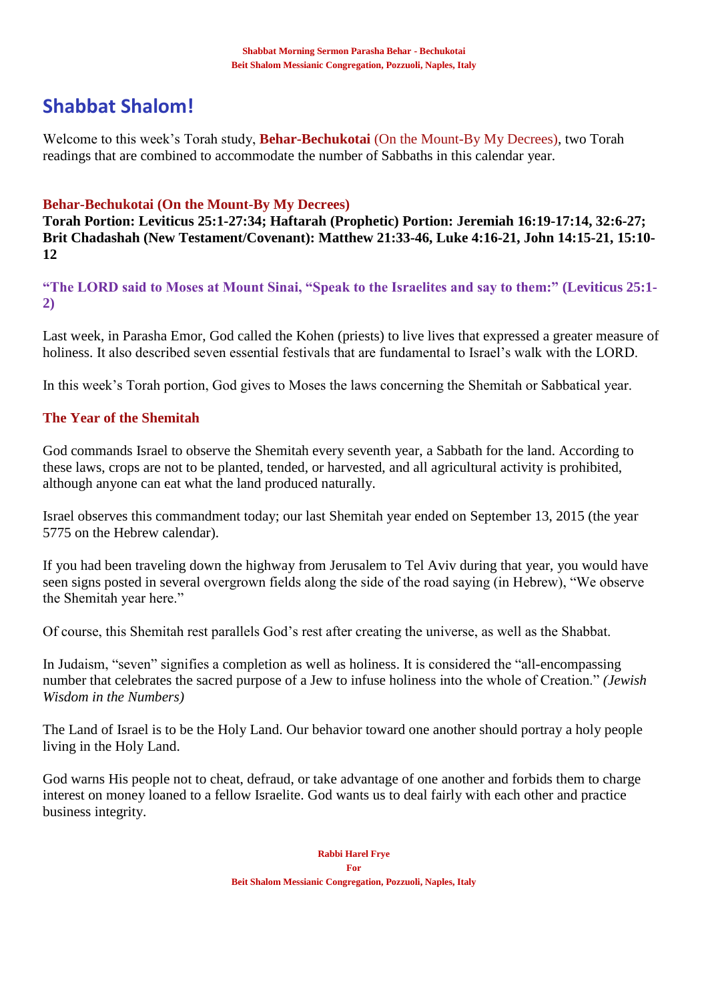# **Shabbat Shalom!**

Welcome to this week's Torah study, **Behar-Bechukotai** (On the Mount-By My Decrees), two Torah readings that are combined to accommodate the number of Sabbaths in this calendar year.

### **Behar-Bechukotai (On the Mount-By My Decrees)**

**Torah Portion: Leviticus 25:1-27:34; Haftarah (Prophetic) Portion: Jeremiah 16:19-17:14, 32:6-27; Brit Chadashah (New Testament/Covenant): Matthew 21:33-46, Luke 4:16-21, John 14:15-21, 15:10- 12**

**"The LORD said to Moses at Mount Sinai, "Speak to the Israelites and say to them:" (Leviticus 25:1- 2)**

Last week, in Parasha Emor, God called the Kohen (priests) to live lives that expressed a greater measure of holiness. It also described seven essential festivals that are fundamental to Israel's walk with the LORD.

In this week's Torah portion, God gives to Moses the laws concerning the Shemitah or Sabbatical year.

## **The Year of the Shemitah**

God commands Israel to observe the Shemitah every seventh year, a Sabbath for the land. According to these laws, crops are not to be planted, tended, or harvested, and all agricultural activity is prohibited, although anyone can eat what the land produced naturally.

Israel observes this commandment today; our last Shemitah year ended on September 13, 2015 (the year 5775 on the Hebrew calendar).

If you had been traveling down the highway from Jerusalem to Tel Aviv during that year, you would have seen signs posted in several overgrown fields along the side of the road saying (in Hebrew), "We observe the Shemitah year here."

Of course, this Shemitah rest parallels God's rest after creating the universe, as well as the Shabbat.

In Judaism, "seven" signifies a completion as well as holiness. It is considered the "all-encompassing number that celebrates the sacred purpose of a Jew to infuse holiness into the whole of Creation." *(Jewish Wisdom in the Numbers)*

The Land of Israel is to be the Holy Land. Our behavior toward one another should portray a holy people living in the Holy Land.

God warns His people not to cheat, defraud, or take advantage of one another and forbids them to charge interest on money loaned to a fellow Israelite. God wants us to deal fairly with each other and practice business integrity.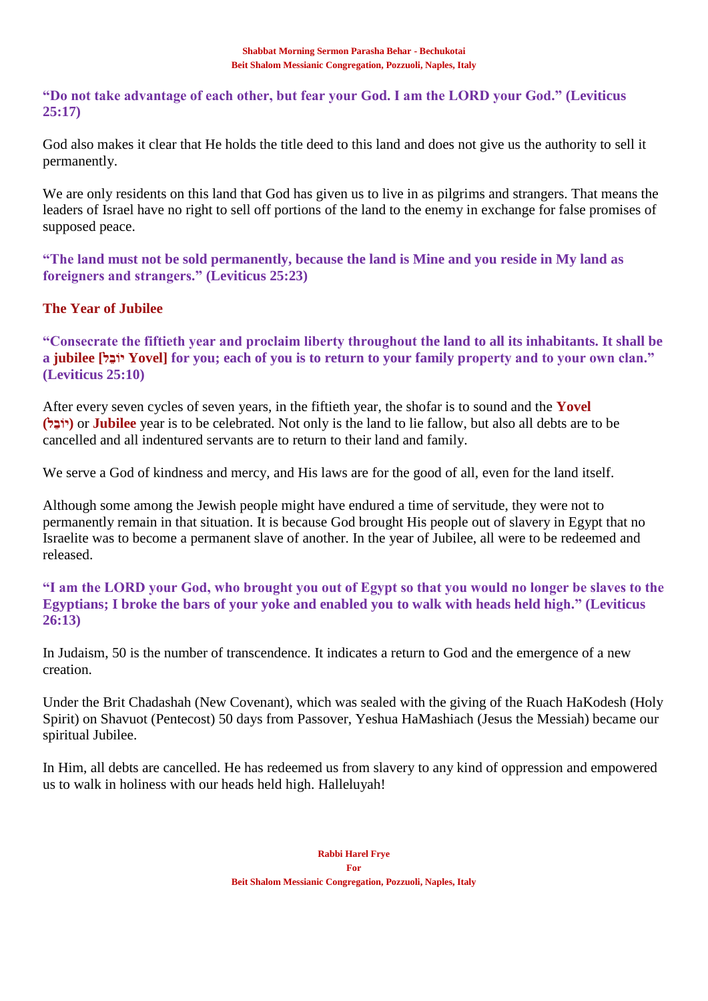### **"Do not take advantage of each other, but fear your God. I am the LORD your God." (Leviticus 25:17)**

God also makes it clear that He holds the title deed to this land and does not give us the authority to sell it permanently.

We are only residents on this land that God has given us to live in as pilgrims and strangers. That means the leaders of Israel have no right to sell off portions of the land to the enemy in exchange for false promises of supposed peace.

**"The land must not be sold permanently, because the land is Mine and you reside in My land as foreigners and strangers." (Leviticus 25:23)**

# **The Year of Jubilee**

**"Consecrate the fiftieth year and proclaim liberty throughout the land to all its inhabitants. It shall be a jubilee [ל ֵובֹי Yovel] for you; each of you is to return to your family property and to your own clan." (Leviticus 25:10)**

After every seven cycles of seven years, in the fiftieth year, the shofar is to sound and the **Yovel (ל ֵובֹי (**or **Jubilee** year is to be celebrated. Not only is the land to lie fallow, but also all debts are to be cancelled and all indentured servants are to return to their land and family.

We serve a God of kindness and mercy, and His laws are for the good of all, even for the land itself.

Although some among the Jewish people might have endured a time of servitude, they were not to permanently remain in that situation. It is because God brought His people out of slavery in Egypt that no Israelite was to become a permanent slave of another. In the year of Jubilee, all were to be redeemed and released.

**"I am the LORD your God, who brought you out of Egypt so that you would no longer be slaves to the Egyptians; I broke the bars of your yoke and enabled you to walk with heads held high." (Leviticus 26:13)**

In Judaism, 50 is the number of transcendence. It indicates a return to God and the emergence of a new creation.

Under the Brit Chadashah (New Covenant), which was sealed with the giving of the Ruach HaKodesh (Holy Spirit) on Shavuot (Pentecost) 50 days from Passover, Yeshua HaMashiach (Jesus the Messiah) became our spiritual Jubilee.

In Him, all debts are cancelled. He has redeemed us from slavery to any kind of oppression and empowered us to walk in holiness with our heads held high. Halleluyah!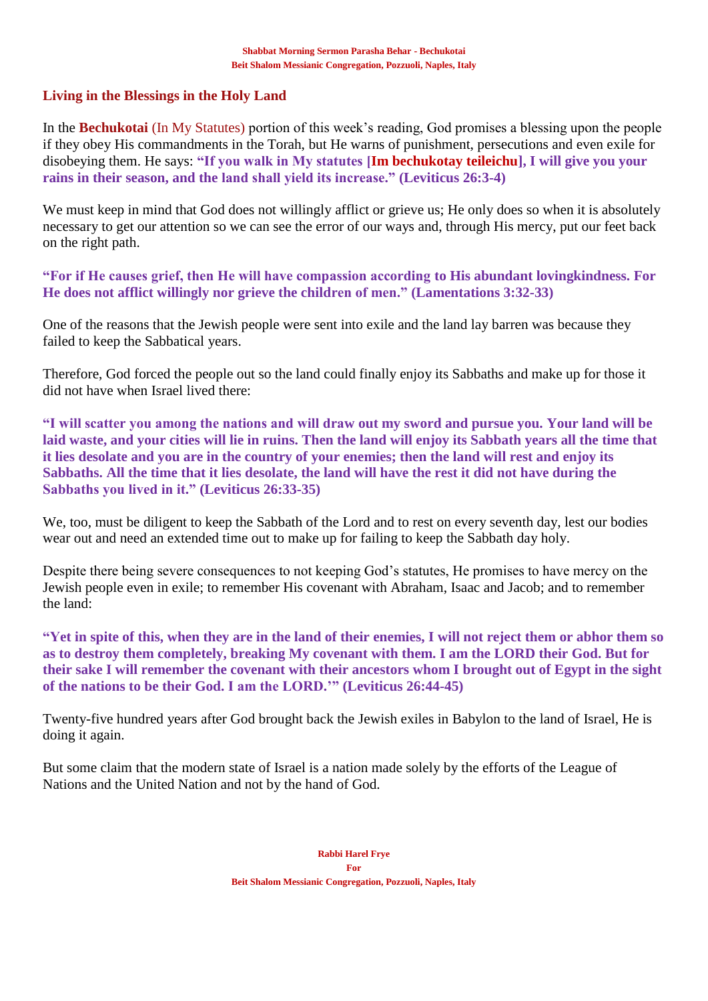### **Living in the Blessings in the Holy Land**

In the **Bechukotai** (In My Statutes) portion of this week's reading, God promises a blessing upon the people if they obey His commandments in the Torah, but He warns of punishment, persecutions and even exile for disobeying them. He says: **"If you walk in My statutes [Im bechukotay teileichu], I will give you your rains in their season, and the land shall yield its increase." (Leviticus 26:3-4)**

We must keep in mind that God does not willingly afflict or grieve us; He only does so when it is absolutely necessary to get our attention so we can see the error of our ways and, through His mercy, put our feet back on the right path.

**"For if He causes grief, then He will have compassion according to His abundant lovingkindness. For He does not afflict willingly nor grieve the children of men." (Lamentations 3:32-33)**

One of the reasons that the Jewish people were sent into exile and the land lay barren was because they failed to keep the Sabbatical years.

Therefore, God forced the people out so the land could finally enjoy its Sabbaths and make up for those it did not have when Israel lived there:

**"I will scatter you among the nations and will draw out my sword and pursue you. Your land will be laid waste, and your cities will lie in ruins. Then the land will enjoy its Sabbath years all the time that it lies desolate and you are in the country of your enemies; then the land will rest and enjoy its Sabbaths. All the time that it lies desolate, the land will have the rest it did not have during the Sabbaths you lived in it." (Leviticus 26:33-35)**

We, too, must be diligent to keep the Sabbath of the Lord and to rest on every seventh day, lest our bodies wear out and need an extended time out to make up for failing to keep the Sabbath day holy.

Despite there being severe consequences to not keeping God's statutes, He promises to have mercy on the Jewish people even in exile; to remember His covenant with Abraham, Isaac and Jacob; and to remember the land:

**"Yet in spite of this, when they are in the land of their enemies, I will not reject them or abhor them so as to destroy them completely, breaking My covenant with them. I am the LORD their God. But for their sake I will remember the covenant with their ancestors whom I brought out of Egypt in the sight of the nations to be their God. I am the LORD.'" (Leviticus 26:44-45)**

Twenty-five hundred years after God brought back the Jewish exiles in Babylon to the land of Israel, He is doing it again.

But some claim that the modern state of Israel is a nation made solely by the efforts of the League of Nations and the United Nation and not by the hand of God.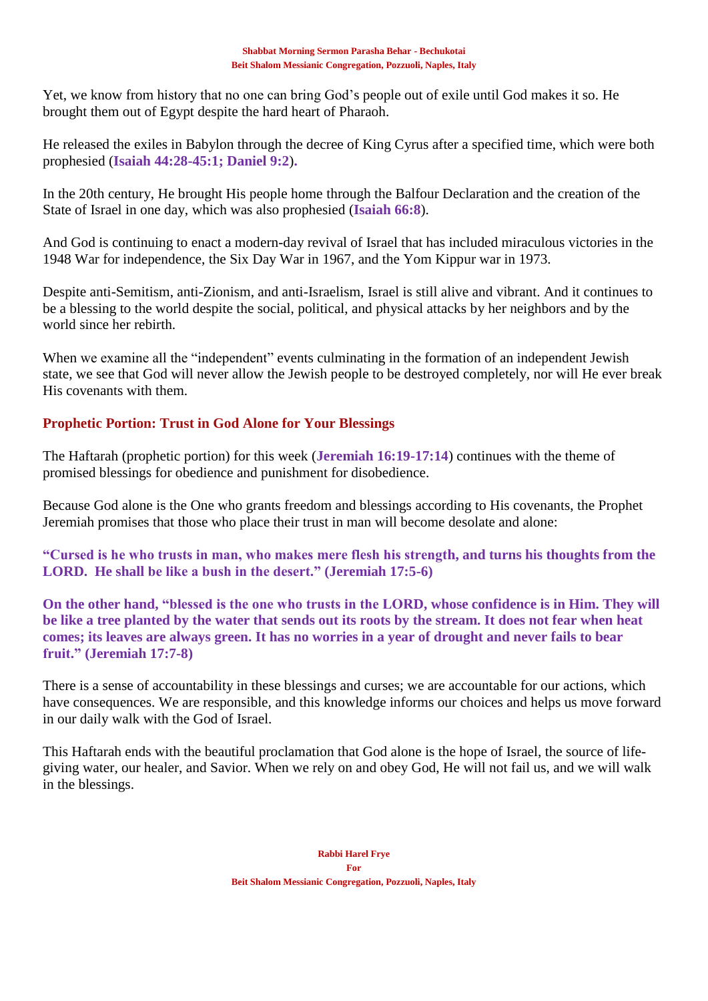#### **Shabbat Morning Sermon Parasha Behar - Bechukotai Beit Shalom Messianic Congregation, Pozzuoli, Naples, Italy**

Yet, we know from history that no one can bring God's people out of exile until God makes it so. He brought them out of Egypt despite the hard heart of Pharaoh.

He released the exiles in Babylon through the decree of King Cyrus after a specified time, which were both prophesied (**Isaiah 44:28-45:1; Daniel 9:2**)**.**

In the 20th century, He brought His people home through the Balfour Declaration and the creation of the State of Israel in one day, which was also prophesied (**Isaiah 66:8**).

And God is continuing to enact a modern-day revival of Israel that has included miraculous victories in the 1948 War for independence, the Six Day War in 1967, and the Yom Kippur war in 1973.

Despite anti-Semitism, anti-Zionism, and anti-Israelism, Israel is still alive and vibrant. And it continues to be a blessing to the world despite the social, political, and physical attacks by her neighbors and by the world since her rebirth.

When we examine all the "independent" events culminating in the formation of an independent Jewish state, we see that God will never allow the Jewish people to be destroyed completely, nor will He ever break His covenants with them.

# **Prophetic Portion: Trust in God Alone for Your Blessings**

The Haftarah (prophetic portion) for this week (**Jeremiah 16:19-17:14**) continues with the theme of promised blessings for obedience and punishment for disobedience.

Because God alone is the One who grants freedom and blessings according to His covenants, the Prophet Jeremiah promises that those who place their trust in man will become desolate and alone:

**"Cursed is he who trusts in man, who makes mere flesh his strength, and turns his thoughts from the LORD. He shall be like a bush in the desert." (Jeremiah 17:5-6)**

**On the other hand, "blessed is the one who trusts in the LORD, whose confidence is in Him. They will be like a tree planted by the water that sends out its roots by the stream. It does not fear when heat comes; its leaves are always green. It has no worries in a year of drought and never fails to bear fruit." (Jeremiah 17:7-8)**

There is a sense of accountability in these blessings and curses; we are accountable for our actions, which have consequences. We are responsible, and this knowledge informs our choices and helps us move forward in our daily walk with the God of Israel.

This Haftarah ends with the beautiful proclamation that God alone is the hope of Israel, the source of lifegiving water, our healer, and Savior. When we rely on and obey God, He will not fail us, and we will walk in the blessings.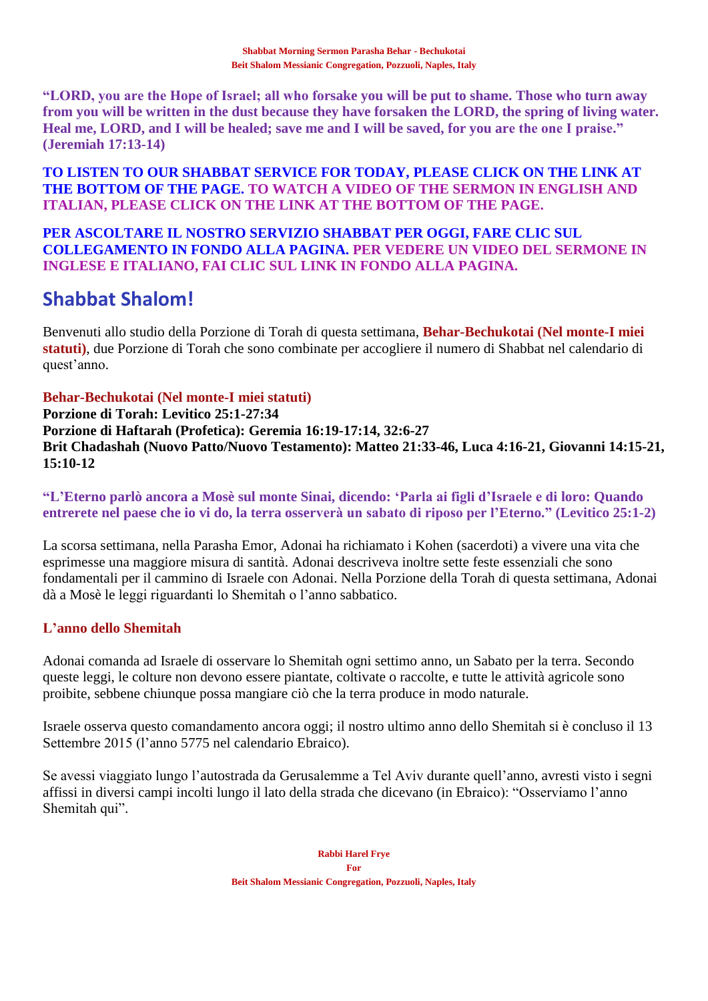**"LORD, you are the Hope of Israel; all who forsake you will be put to shame. Those who turn away from you will be written in the dust because they have forsaken the LORD, the spring of living water. Heal me, LORD, and I will be healed; save me and I will be saved, for you are the one I praise." (Jeremiah 17:13-14)**

**TO LISTEN TO OUR SHABBAT SERVICE FOR TODAY, PLEASE CLICK ON THE LINK AT THE BOTTOM OF THE PAGE. TO WATCH A VIDEO OF THE SERMON IN ENGLISH AND ITALIAN, PLEASE CLICK ON THE LINK AT THE BOTTOM OF THE PAGE.**

**PER ASCOLTARE IL NOSTRO SERVIZIO SHABBAT PER OGGI, FARE CLIC SUL COLLEGAMENTO IN FONDO ALLA PAGINA. PER VEDERE UN VIDEO DEL SERMONE IN INGLESE E ITALIANO, FAI CLIC SUL LINK IN FONDO ALLA PAGINA.**

# **Shabbat Shalom!**

Benvenuti allo studio della Porzione di Torah di questa settimana, **Behar-Bechukotai (Nel monte-I miei statuti)**, due Porzione di Torah che sono combinate per accogliere il numero di Shabbat nel calendario di quest'anno.

# **Behar-Bechukotai (Nel monte-I miei statuti)**

**Porzione di Torah: Levitico 25:1-27:34 Porzione di Haftarah (Profetica): Geremia 16:19-17:14, 32:6-27 Brit Chadashah (Nuovo Patto/Nuovo Testamento): Matteo 21:33-46, Luca 4:16-21, Giovanni 14:15-21, 15:10-12**

**"L'Eterno parlò ancora a Mosè sul monte Sinai, dicendo: 'Parla ai figli d'Israele e di loro: Quando entrerete nel paese che io vi do, la terra osserverà un sabato di riposo per l'Eterno." (Levitico 25:1-2)**

La scorsa settimana, nella Parasha Emor, Adonai ha richiamato i Kohen (sacerdoti) a vivere una vita che esprimesse una maggiore misura di santità. Adonai descriveva inoltre sette feste essenziali che sono fondamentali per il cammino di Israele con Adonai. Nella Porzione della Torah di questa settimana, Adonai dà a Mosè le leggi riguardanti lo Shemitah o l'anno sabbatico.

# **L'anno dello Shemitah**

Adonai comanda ad Israele di osservare lo Shemitah ogni settimo anno, un Sabato per la terra. Secondo queste leggi, le colture non devono essere piantate, coltivate o raccolte, e tutte le attività agricole sono proibite, sebbene chiunque possa mangiare ciò che la terra produce in modo naturale.

Israele osserva questo comandamento ancora oggi; il nostro ultimo anno dello Shemitah si è concluso il 13 Settembre 2015 (l'anno 5775 nel calendario Ebraico).

Se avessi viaggiato lungo l'autostrada da Gerusalemme a Tel Aviv durante quell'anno, avresti visto i segni affissi in diversi campi incolti lungo il lato della strada che dicevano (in Ebraico): "Osserviamo l'anno Shemitah qui".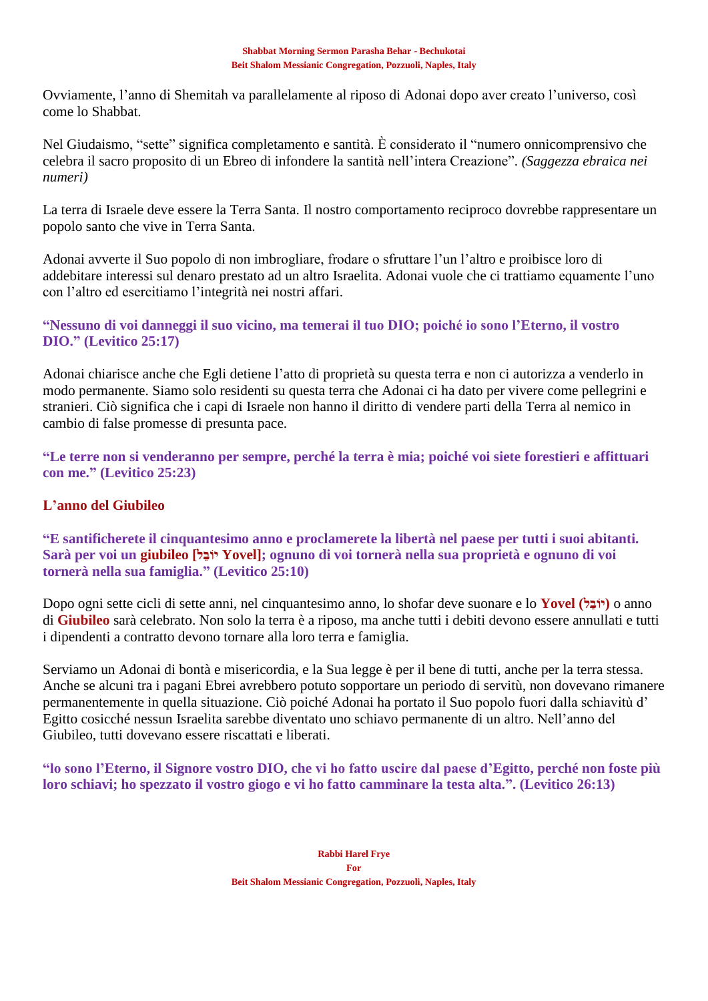Ovviamente, l'anno di Shemitah va parallelamente al riposo di Adonai dopo aver creato l'universo, così come lo Shabbat.

Nel Giudaismo, "sette" significa completamento e santità. È considerato il "numero onnicomprensivo che celebra il sacro proposito di un Ebreo di infondere la santità nell'intera Creazione". *(Saggezza ebraica nei numeri)*

La terra di Israele deve essere la Terra Santa. Il nostro comportamento reciproco dovrebbe rappresentare un popolo santo che vive in Terra Santa.

Adonai avverte il Suo popolo di non imbrogliare, frodare o sfruttare l'un l'altro e proibisce loro di addebitare interessi sul denaro prestato ad un altro Israelita. Adonai vuole che ci trattiamo equamente l'uno con l'altro ed esercitiamo l'integrità nei nostri affari.

**"Nessuno di voi danneggi il suo vicino, ma temerai il tuo DIO; poiché io sono l'Eterno, il vostro DIO." (Levitico 25:17)**

Adonai chiarisce anche che Egli detiene l'atto di proprietà su questa terra e non ci autorizza a venderlo in modo permanente. Siamo solo residenti su questa terra che Adonai ci ha dato per vivere come pellegrini e stranieri. Ciò significa che i capi di Israele non hanno il diritto di vendere parti della Terra al nemico in cambio di false promesse di presunta pace.

**"Le terre non si venderanno per sempre, perché la terra è mia; poiché voi siete forestieri e affittuari con me." (Levitico 25:23)**

# **L'anno del Giubileo**

**"E santificherete il cinquantesimo anno e proclamerete la libertà nel paese per tutti i suoi abitanti. Sarà per voi un giubileo [ל ֵובֹי Yovel]; ognuno di voi tornerà nella sua proprietà e ognuno di voi tornerà nella sua famiglia." (Levitico 25:10)**

Dopo ogni sette cicli di sette anni, nel cinquantesimo anno, lo shofar deve suonare e lo **Yovel (ל ֵובֹי (**o anno di **Giubileo** sarà celebrato. Non solo la terra è a riposo, ma anche tutti i debiti devono essere annullati e tutti i dipendenti a contratto devono tornare alla loro terra e famiglia.

Serviamo un Adonai di bontà e misericordia, e la Sua legge è per il bene di tutti, anche per la terra stessa. Anche se alcuni tra i pagani Ebrei avrebbero potuto sopportare un periodo di servitù, non dovevano rimanere permanentemente in quella situazione. Ciò poiché Adonai ha portato il Suo popolo fuori dalla schiavitù d' Egitto cosicché nessun Israelita sarebbe diventato uno schiavo permanente di un altro. Nell'anno del Giubileo, tutti dovevano essere riscattati e liberati.

**"lo sono l'Eterno, il Signore vostro DIO, che vi ho fatto uscire dal paese d'Egitto, perché non foste più loro schiavi; ho spezzato il vostro giogo e vi ho fatto camminare la testa alta.". (Levitico 26:13)**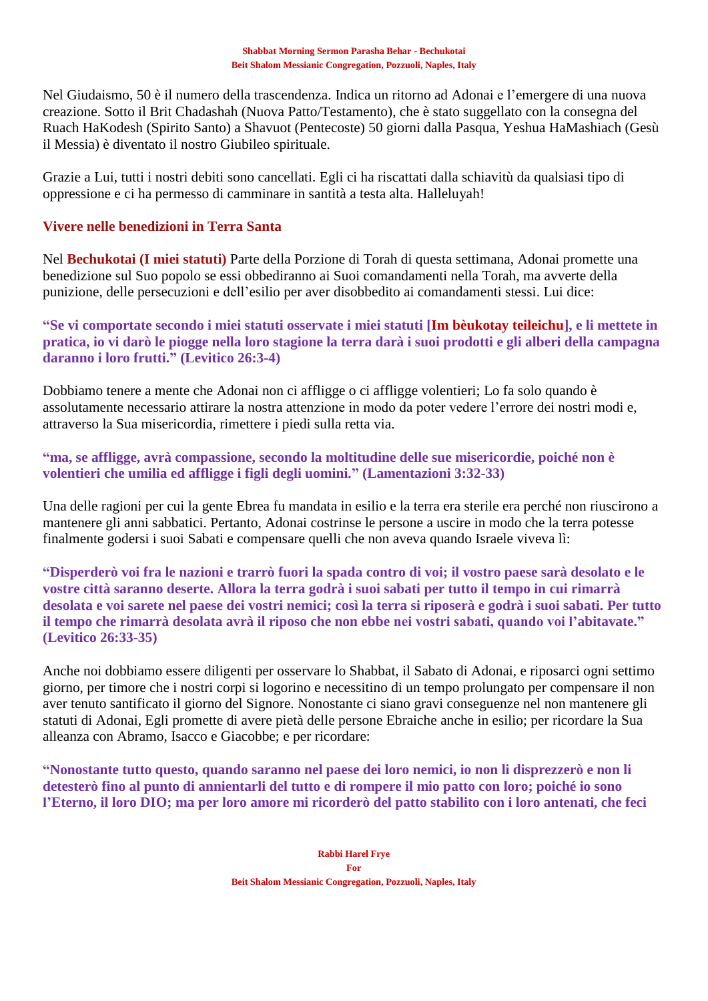Nel Giudaismo, 50 è il numero della trascendenza. Indica un ritorno ad Adonai e l'emergere di una nuova creazione. Sotto il Brit Chadashah (Nuova Patto/Testamento), che è stato suggellato con la consegna del Ruach HaKodesh (Spirito Santo) a Shavuot (Pentecoste) 50 giorni dalla Pasqua, Yeshua HaMashiach (Gesù il Messia) è diventato il nostro Giubileo spirituale.

Grazie a Lui, tutti i nostri debiti sono cancellati. Egli ci ha riscattati dalla schiavitù da qualsiasi tipo di oppressione e ci ha permesso di camminare in santità a testa alta. Halleluyah!

## **Vivere nelle benedizioni in Terra Santa**

Nel **Bechukotai (I miei statuti)** Parte della Porzione di Torah di questa settimana, Adonai promette una benedizione sul Suo popolo se essi obbediranno ai Suoi comandamenti nella Torah, ma avverte della punizione, delle persecuzioni e dell'esilio per aver disobbedito ai comandamenti stessi. Lui dice:

**"Se vi comportate secondo i miei statuti osservate i miei statuti [Im bèukotay teileichu], e li mettete in pratica, io vi darò le piogge nella loro stagione la terra darà i suoi prodotti e gli alberi della campagna daranno i loro frutti." (Levitico 26:3-4)**

Dobbiamo tenere a mente che Adonai non ci affligge o ci affligge volentieri; Lo fa solo quando è assolutamente necessario attirare la nostra attenzione in modo da poter vedere l'errore dei nostri modi e, attraverso la Sua misericordia, rimettere i piedi sulla retta via.

**"ma, se affligge, avrà compassione, secondo la moltitudine delle sue misericordie, poiché non è volentieri che umilia ed affligge i figli degli uomini." (Lamentazioni 3:32-33)**

Una delle ragioni per cui la gente Ebrea fu mandata in esilio e la terra era sterile era perché non riuscirono a mantenere gli anni sabbatici. Pertanto, Adonai costrinse le persone a uscire in modo che la terra potesse finalmente godersi i suoi Sabati e compensare quelli che non aveva quando Israele viveva lì:

**"Disperderò voi fra le nazioni e trarrò fuori la spada contro di voi; il vostro paese sarà desolato e le vostre città saranno deserte. Allora la terra godrà i suoi sabati per tutto il tempo in cui rimarrà desolata e voi sarete nel paese dei vostri nemici; così la terra si riposerà e godrà i suoi sabati. Per tutto il tempo che rimarrà desolata avrà il riposo che non ebbe nei vostri sabati, quando voi l'abitavate." (Levitico 26:33-35)**

Anche noi dobbiamo essere diligenti per osservare lo Shabbat, il Sabato di Adonai, e riposarci ogni settimo giorno, per timore che i nostri corpi si logorino e necessitino di un tempo prolungato per compensare il non aver tenuto santificato il giorno del Signore. Nonostante ci siano gravi conseguenze nel non mantenere gli statuti di Adonai, Egli promette di avere pietà delle persone Ebraiche anche in esilio; per ricordare la Sua alleanza con Abramo, Isacco e Giacobbe; e per ricordare:

**"Nonostante tutto questo, quando saranno nel paese dei loro nemici, io non li disprezzerò e non li detesterò fino al punto di annientarli del tutto e di rompere il mio patto con loro; poiché io sono l'Eterno, il loro DIO; ma per loro amore mi ricorderò del patto stabilito con i loro antenati, che feci**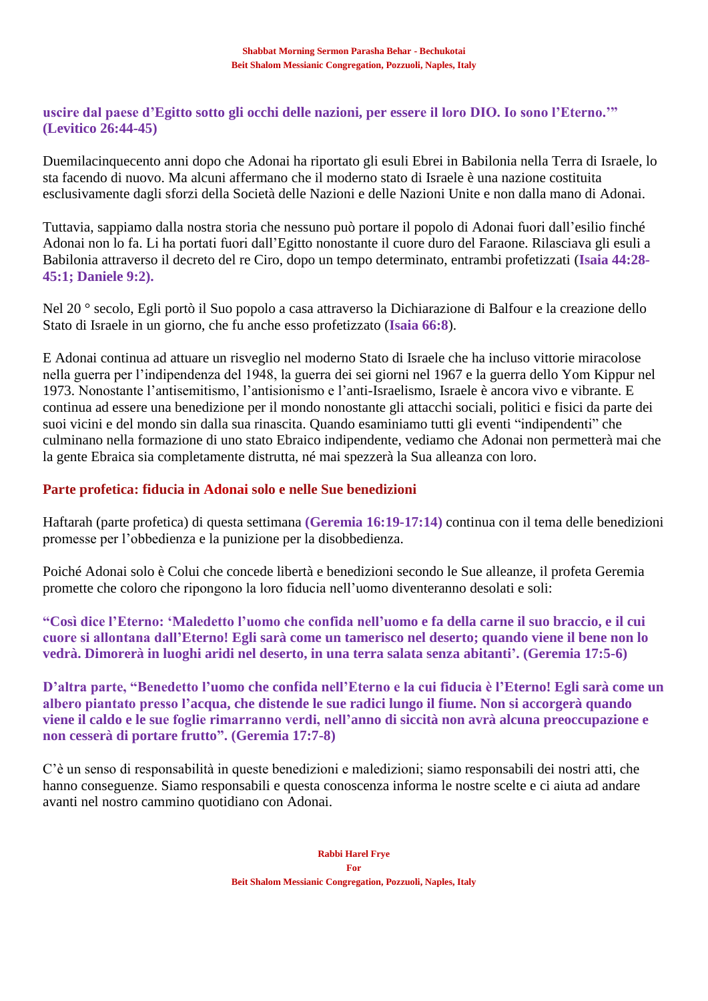### **uscire dal paese d'Egitto sotto gli occhi delle nazioni, per essere il loro DIO. Io sono l'Eterno.'" (Levitico 26:44-45)**

Duemilacinquecento anni dopo che Adonai ha riportato gli esuli Ebrei in Babilonia nella Terra di Israele, lo sta facendo di nuovo. Ma alcuni affermano che il moderno stato di Israele è una nazione costituita esclusivamente dagli sforzi della Società delle Nazioni e delle Nazioni Unite e non dalla mano di Adonai.

Tuttavia, sappiamo dalla nostra storia che nessuno può portare il popolo di Adonai fuori dall'esilio finché Adonai non lo fa. Li ha portati fuori dall'Egitto nonostante il cuore duro del Faraone. Rilasciava gli esuli a Babilonia attraverso il decreto del re Ciro, dopo un tempo determinato, entrambi profetizzati (**Isaia 44:28- 45:1; Daniele 9:2).**

Nel 20 ° secolo, Egli portò il Suo popolo a casa attraverso la Dichiarazione di Balfour e la creazione dello Stato di Israele in un giorno, che fu anche esso profetizzato (**Isaia 66:8**).

E Adonai continua ad attuare un risveglio nel moderno Stato di Israele che ha incluso vittorie miracolose nella guerra per l'indipendenza del 1948, la guerra dei sei giorni nel 1967 e la guerra dello Yom Kippur nel 1973. Nonostante l'antisemitismo, l'antisionismo e l'anti-Israelismo, Israele è ancora vivo e vibrante. E continua ad essere una benedizione per il mondo nonostante gli attacchi sociali, politici e fisici da parte dei suoi vicini e del mondo sin dalla sua rinascita. Quando esaminiamo tutti gli eventi "indipendenti" che culminano nella formazione di uno stato Ebraico indipendente, vediamo che Adonai non permetterà mai che la gente Ebraica sia completamente distrutta, né mai spezzerà la Sua alleanza con loro.

### **Parte profetica: fiducia in Adonai solo e nelle Sue benedizioni**

Haftarah (parte profetica) di questa settimana **(Geremia 16:19-17:14)** continua con il tema delle benedizioni promesse per l'obbedienza e la punizione per la disobbedienza.

Poiché Adonai solo è Colui che concede libertà e benedizioni secondo le Sue alleanze, il profeta Geremia promette che coloro che ripongono la loro fiducia nell'uomo diventeranno desolati e soli:

**"Così dice l'Eterno: 'Maledetto l'uomo che confida nell'uomo e fa della carne il suo braccio, e il cui cuore si allontana dall'Eterno! Egli sarà come un tamerisco nel deserto; quando viene il bene non lo vedrà. Dimorerà in luoghi aridi nel deserto, in una terra salata senza abitanti'. (Geremia 17:5-6)**

**D'altra parte, "Benedetto l'uomo che confida nell'Eterno e la cui fiducia è l'Eterno! Egli sarà come un albero piantato presso l'acqua, che distende le sue radici lungo il fiume. Non si accorgerà quando viene il caldo e le sue foglie rimarranno verdi, nell'anno di siccità non avrà alcuna preoccupazione e non cesserà di portare frutto". (Geremia 17:7-8)**

C'è un senso di responsabilità in queste benedizioni e maledizioni; siamo responsabili dei nostri atti, che hanno conseguenze. Siamo responsabili e questa conoscenza informa le nostre scelte e ci aiuta ad andare avanti nel nostro cammino quotidiano con Adonai.